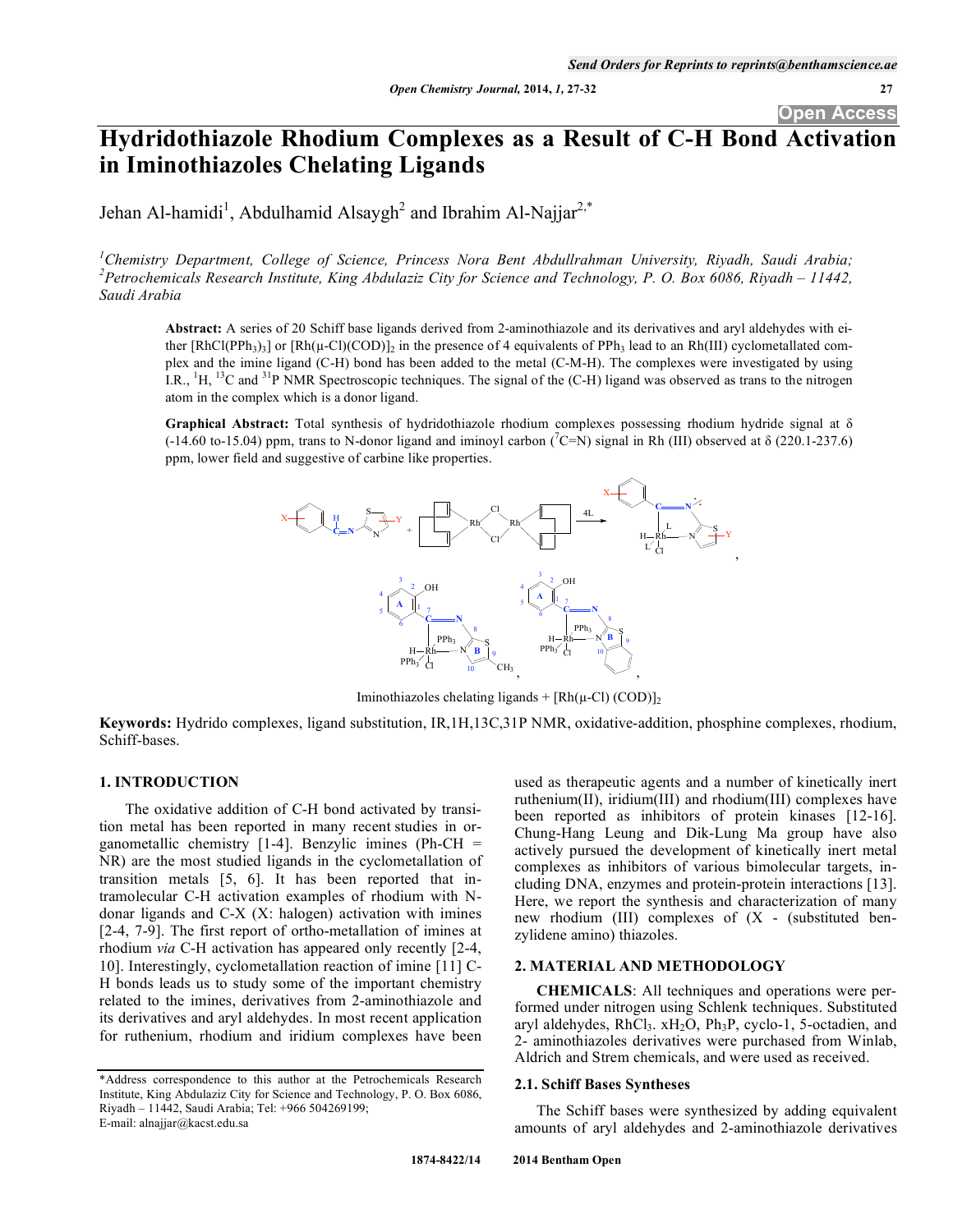# **Hydridothiazole Rhodium Complexes as a Result of C-H Bond Activation in Iminothiazoles Chelating Ligands**

Jehan Al-hamidi<sup>1</sup>, Abdulhamid Alsaygh<sup>2</sup> and Ibrahim Al-Najjar<sup>2,\*</sup>

<sup>1</sup>Chemistry Department, College of Science, Princess Nora Bent Abdullrahman University, Riyadh, Saudi Arabia; *2 Petrochemicals Research Institute, King Abdulaziz City for Science and Technology, P. O. Box 6086, Riyadh – 11442, Saudi Arabia* 

**Abstract:** A series of 20 Schiff base ligands derived from 2-aminothiazole and its derivatives and aryl aldehydes with either  $[RhCl(PPh_3)_3]$  or  $[Rh(\mu-Cl)(COD)]_2$  in the presence of 4 equivalents of PPh<sub>3</sub> lead to an Rh(III) cyclometallated complex and the imine ligand (C-H) bond has been added to the metal (C-M-H). The complexes were investigated by using I.R.,  ${}^{1}H$ ,  ${}^{13}C$  and  ${}^{31}P$  NMR Spectroscopic techniques. The signal of the (C-H) ligand was observed as trans to the nitrogen atom in the complex which is a donor ligand.

**Graphical Abstract:** Total synthesis of hydridothiazole rhodium complexes possessing rhodium hydride signal at  $\delta$  $(-14.60 \text{ to } -15.04)$  ppm, trans to N-donor ligand and iminoyl carbon  $(\text{°C=N})$  signal in Rh (III) observed at  $\delta$  (220.1-237.6) ppm, lower field and suggestive of carbine like properties.



Iminothiazoles chelating ligands +  $[Rh(\mu-Cl) (COD)]_2$ 

**Keywords:** Hydrido complexes, ligand substitution, IR,1H,13C,31P NMR, oxidative-addition, phosphine complexes, rhodium, Schiff-bases.

## **1. INTRODUCTION**

 The oxidative addition of C-H bond activated by transition metal has been reported in many recent studies in organometallic chemistry [1-4]. Benzylic imines (Ph-CH = NR) are the most studied ligands in the cyclometallation of transition metals [5, 6]. It has been reported that intramolecular C-H activation examples of rhodium with Ndonar ligands and C-X (X: halogen) activation with imines [2-4, 7-9]. The first report of ortho-metallation of imines at rhodium *via* C-H activation has appeared only recently [2-4, 10]. Interestingly, cyclometallation reaction of imine [11] C-H bonds leads us to study some of the important chemistry related to the imines, derivatives from 2-aminothiazole and its derivatives and aryl aldehydes. In most recent application for ruthenium, rhodium and iridium complexes have been

used as therapeutic agents and a number of kinetically inert ruthenium(II), iridium(III) and rhodium(III) complexes have been reported as inhibitors of protein kinases [12-16]. Chung-Hang Leung and Dik-Lung Ma group have also actively pursued the development of kinetically inert metal complexes as inhibitors of various bimolecular targets, including DNA, enzymes and protein-protein interactions [13]. Here, we report the synthesis and characterization of many new rhodium (III) complexes of (X - (substituted benzylidene amino) thiazoles.

# **2. MATERIAL AND METHODOLOGY**

**CHEMICALS**: All techniques and operations were performed under nitrogen using Schlenk techniques. Substituted aryl aldehydes, RhCl<sub>3</sub>. xH<sub>2</sub>O, Ph<sub>3</sub>P, cyclo-1, 5-octadien, and 2- aminothiazoles derivatives were purchased from Winlab, Aldrich and Strem chemicals, and were used as received.

#### **2.1. Schiff Bases Syntheses**

The Schiff bases were synthesized by adding equivalent amounts of aryl aldehydes and 2-aminothiazole derivatives

<sup>\*</sup>Address correspondence to this author at the Petrochemicals Research Institute, King Abdulaziz City for Science and Technology, P. O. Box 6086, Riyadh – 11442, Saudi Arabia; Tel: +966 504269199; E-mail: alnajjar@kacst.edu.sa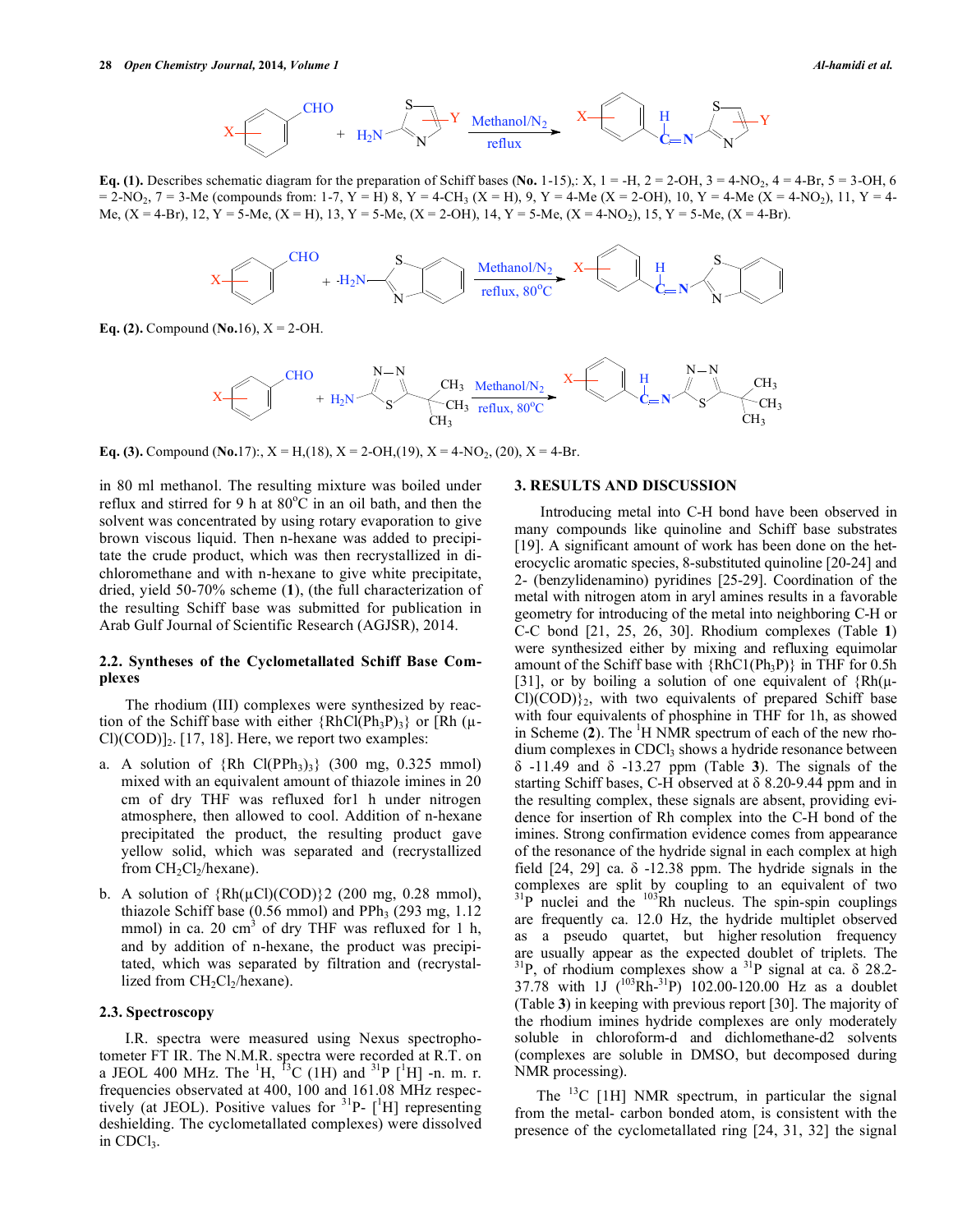

**Eq. (1).** Describes schematic diagram for the preparation of Schiff bases (No. 1-15),: X,  $1 = -H$ ,  $2 = 2-OH$ ,  $3 = 4-NO<sub>2</sub>$ ,  $4 = 4-Br$ ,  $5 = 3-OH$ , 6  $= 2-\text{NO}_2$ ,  $7 = 3-\text{Me}$  (compounds from: 1-7, Y = H) 8, Y = 4-CH<sub>3</sub> (X = H), 9, Y = 4-Me (X = 2-OH), 10, Y = 4-Me (X = 4-NO<sub>2</sub>), 11, Y = 4-Me,  $(X = 4-Br)$ ,  $12$ ,  $Y = 5-Me$ ,  $(X = H)$ ,  $13$ ,  $Y = 5-Me$ ,  $(X = 2-OH)$ ,  $14$ ,  $Y = 5-Me$ ,  $(X = 4-NO<sub>2</sub>)$ ,  $15$ ,  $Y = 5-Me$ ,  $(X = 4-Br)$ .



**Eq. (2).** Compound (**No.**16), X = 2-OH.



**Eq. (3).** Compound (**No.**17):,  $X = H(18)$ ,  $X = 2-OH(19)$ ,  $X = 4-NO_2$ , (20),  $X = 4-Br$ .

in 80 ml methanol. The resulting mixture was boiled under reflux and stirred for 9 h at  $80^{\circ}$ C in an oil bath, and then the solvent was concentrated by using rotary evaporation to give brown viscous liquid. Then n-hexane was added to precipitate the crude product, which was then recrystallized in dichloromethane and with n-hexane to give white precipitate, dried, yield 50-70% scheme (**1**), (the full characterization of the resulting Schiff base was submitted for publication in Arab Gulf Journal of Scientific Research (AGJSR), 2014.

### **2.2. Syntheses of the Cyclometallated Schiff Base Complexes**

 The rhodium (III) complexes were synthesized by reaction of the Schiff base with either  ${RhCl(Ph_3P)_3}$  or  $[Rh(\mu Cl(COD)]_2$ . [17, 18]. Here, we report two examples:

- a.A solution of {Rh Cl(PPh3)3} (300 mg, 0.325 mmol) mixed with an equivalent amount of thiazole imines in 20 cm of dry THF was refluxed for1 h under nitrogen atmosphere, then allowed to cool. Addition of n-hexane precipitated the product, the resulting product gave yellow solid, which was separated and (recrystallized from  $CH<sub>2</sub>Cl<sub>2</sub>/hexane$ ).
- b. A solution of  ${Rh(\mu\text{Cl})(\text{COD})}$  (200 mg, 0.28 mmol), thiazole Schiff base  $(0.56 \text{ mmol})$  and PPh<sub>3</sub>  $(293 \text{ mg}, 1.12)$ mmol) in ca. 20 cm<sup>3</sup> of dry THF was refluxed for 1 h, and by addition of n-hexane, the product was precipitated, which was separated by filtration and (recrystallized from  $CH<sub>2</sub>Cl<sub>2</sub>/hexane$ ).

#### **2.3. Spectroscopy**

 I.R. spectra were measured using Nexus spectrophotometer FT IR. The N.M.R. spectra were recorded at R.T. on a JEOL 400 MHz. The  ${}^{1}H$ ,  ${}^{13}C$  (1H) and  ${}^{31}P$  [ ${}^{1}H$ ] -n. m. r. frequencies observated at 400, 100 and 161.08 MHz respectively (at JEOL). Positive values for  $3^{1}P - [^{1}H]$  representing deshielding. The cyclometallated complexes) were dissolved in CDCl<sub>3</sub>.

#### **3. RESULTS AND DISCUSSION**

 Introducing metal into C-H bond have been observed in many compounds like quinoline and Schiff base substrates [19]. A significant amount of work has been done on the heterocyclic aromatic species, 8-substituted quinoline [20-24] and 2- (benzylidenamino) pyridines [25-29]. Coordination of the metal with nitrogen atom in aryl amines results in a favorable geometry for introducing of the metal into neighboring C-H or C-C bond [21, 25, 26, 30]. Rhodium complexes (Table **1**) were synthesized either by mixing and refluxing equimolar amount of the Schiff base with  ${RhCl(Ph_3P)}$  in THF for 0.5h [31], or by boiling a solution of one equivalent of  ${Rh(\mu-\mu)}$  $Cl(COD)\$ <sub>2</sub>, with two equivalents of prepared Schiff base with four equivalents of phosphine in THF for 1h, as showed in Scheme  $(2)$ . The <sup>1</sup>H NMR spectrum of each of the new rho $dium complexes in CDCl<sub>3</sub> shows a hydride resonance between$  $\delta$  -11.49 and  $\delta$  -13.27 ppm (Table 3). The signals of the starting Schiff bases, C-H observed at  $\delta$  8.20-9.44 ppm and in the resulting complex, these signals are absent, providing evidence for insertion of Rh complex into the C-H bond of the imines. Strong confirmation evidence comes from appearance of the resonance of the hydride signal in each complex at high field  $[24, 29]$  ca.  $\delta$  -12.38 ppm. The hydride signals in the complexes are split by coupling to an equivalent of two  $3^{1}P$  nuclei and the  $10^{3}Rh$  nucleus. The spin-spin couplings are frequently ca. 12.0 Hz, the hydride multiplet observed as a pseudo quartet, but higher resolution frequency are usually appear as the expected doublet of triplets. The  $3^{31}P$ , of rhodium complexes show a  $3^{1}P$  signal at ca.  $\delta$  28.2-37.78 with 1J  $(^{103}Rh^{-31}P)$  102.00-120.00 Hz as a doublet (Table **3**) in keeping with previous report [30]. The majority of the rhodium imines hydride complexes are only moderately soluble in chloroform-d and dichlomethane-d2 solvents (complexes are soluble in DMSO, but decomposed during NMR processing).

The  $^{13}$ C [1H] NMR spectrum, in particular the signal from the metal- carbon bonded atom, is consistent with the presence of the cyclometallated ring [24, 31, 32] the signal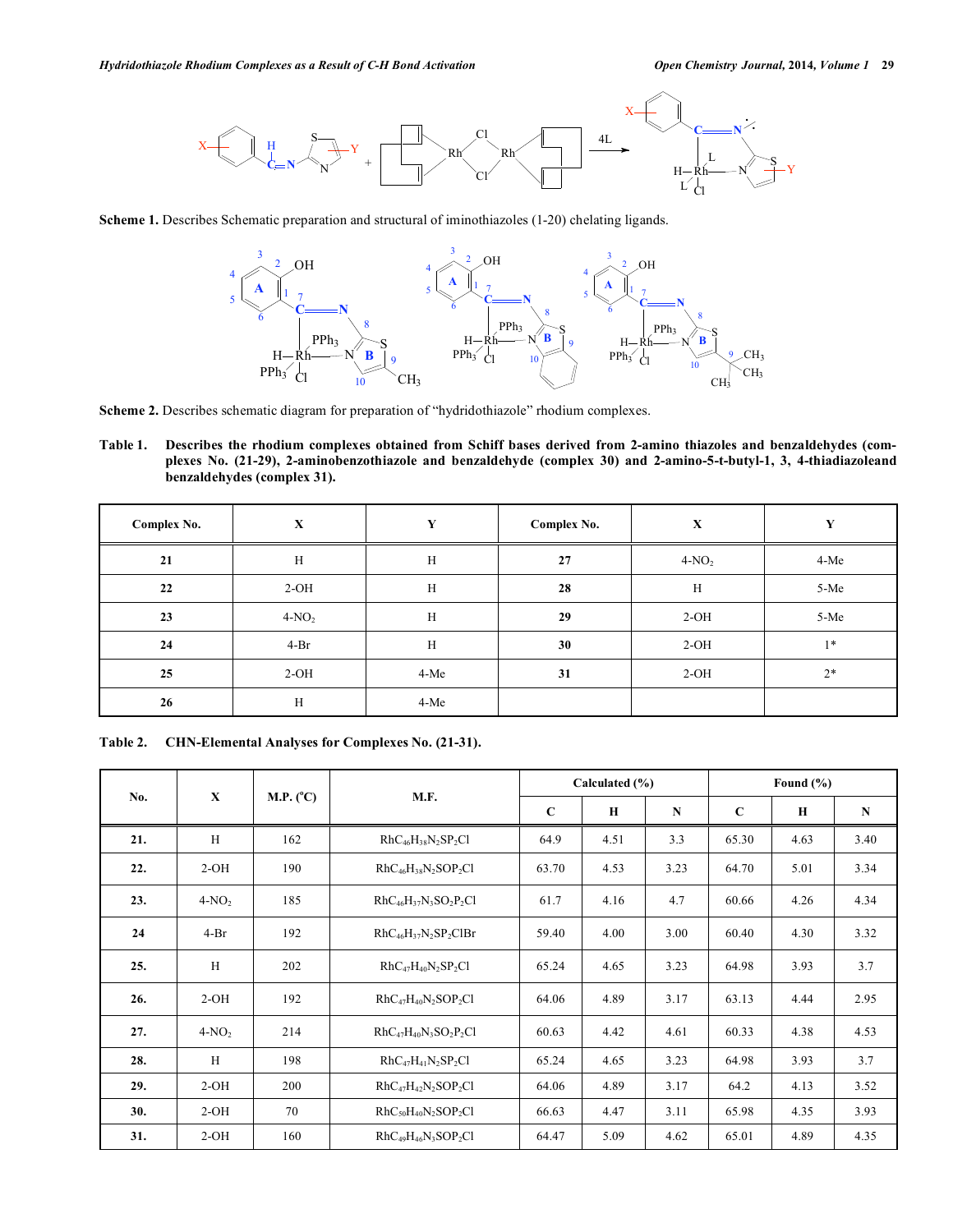

**Scheme 1.** Describes Schematic preparation and structural of iminothiazoles (1-20) chelating ligands.



Scheme 2. Describes schematic diagram for preparation of "hydridothiazole" rhodium complexes.

**Table 1. Describes the rhodium complexes obtained from Schiff bases derived from 2-amino thiazoles and benzaldehydes (complexes No. (21-29), 2-aminobenzothiazole and benzaldehyde (complex 30) and 2-amino-5-t-butyl-1, 3, 4-thiadiazoleand benzaldehydes (complex 31).** 

| Complex No. | $\mathbf X$ | Y      | $\mathbf X$<br>Complex No. |         | Y    |
|-------------|-------------|--------|----------------------------|---------|------|
| 21          | H           | H      | 27                         | $4-NO2$ | 4-Me |
| 22          | $2-OH$      | H      | 28                         | H       | 5-Me |
| 23          | $4-NO2$     | H      | 29                         | $2-OH$  | 5-Me |
| 24          | $4-Br$      | H      | 30                         | $2-OH$  | $1*$ |
| 25          | $2-OH$      | $4-Me$ | 31                         | $2-OH$  | $2*$ |
| 26          | H           | $4-Me$ |                            |         |      |

**Table 2. CHN-Elemental Analyses for Complexes No. (21-31).** 

| $\mathbf{x}$<br>No. |         |                    |                              | Calculated (%)          |      |           | Found $(\% )$ |             |      |
|---------------------|---------|--------------------|------------------------------|-------------------------|------|-----------|---------------|-------------|------|
|                     |         | M.P. $(^{\circ}C)$ | M.F.                         | $\mathbf C$<br>$\bf{H}$ |      | ${\bf N}$ | $\mathbf C$   | $\mathbf H$ | N    |
| 21.                 | H       | 162                | $RhC_{46}H_{38}N_2SP_2Cl$    | 64.9                    | 4.51 | 3.3       | 65.30         | 4.63        | 3.40 |
| 22.                 | $2-OH$  | 190                | $RhC_{46}H_{38}N_2SOP_2Cl$   | 63.70                   | 4.53 | 3.23      | 64.70         | 5.01        | 3.34 |
| 23.                 | $4-NO2$ | 185                | $RhC_{46}H_{37}N_3SO_2P_2Cl$ | 61.7                    | 4.16 | 4.7       | 60.66         | 4.26        | 4.34 |
| 24                  | $4-Br$  | 192                | $RhC_{46}H_{37}N_2SP_2CIBr$  | 59.40                   | 4.00 | 3.00      | 60.40         | 4.30        | 3.32 |
| 25.                 | H       | 202                | $RhC_{47}H_{40}N_2SP_2Cl$    | 65.24                   | 4.65 | 3.23      | 64.98         | 3.93        | 3.7  |
| 26.                 | $2-OH$  | 192                | $RhC_{47}H_{40}N_2SOP_2Cl$   | 64.06                   | 4.89 | 3.17      | 63.13         | 4.44        | 2.95 |
| 27.                 | $4-NO2$ | 214                | $RhC_{47}H_{40}N_3SO_2P_2Cl$ | 60.63                   | 4.42 | 4.61      | 60.33         | 4.38        | 4.53 |
| 28.                 | H       | 198                | $RhC_{47}H_{41}N_2SP_2Cl$    | 65.24                   | 4.65 | 3.23      | 64.98         | 3.93        | 3.7  |
| 29.                 | $2-OH$  | 200                | $RhC_{47}H_{42}N_2SOP_2Cl$   | 64.06                   | 4.89 | 3.17      | 64.2          | 4.13        | 3.52 |
| 30.                 | $2-OH$  | 70                 | $RhC50H40N2SOP2Cl$           | 66.63                   | 4.47 | 3.11      | 65.98         | 4.35        | 3.93 |
| 31.                 | $2-OH$  | 160                | $RhC_{49}H_{46}N_3SOP_2Cl$   | 64.47                   | 5.09 | 4.62      | 65.01         | 4.89        | 4.35 |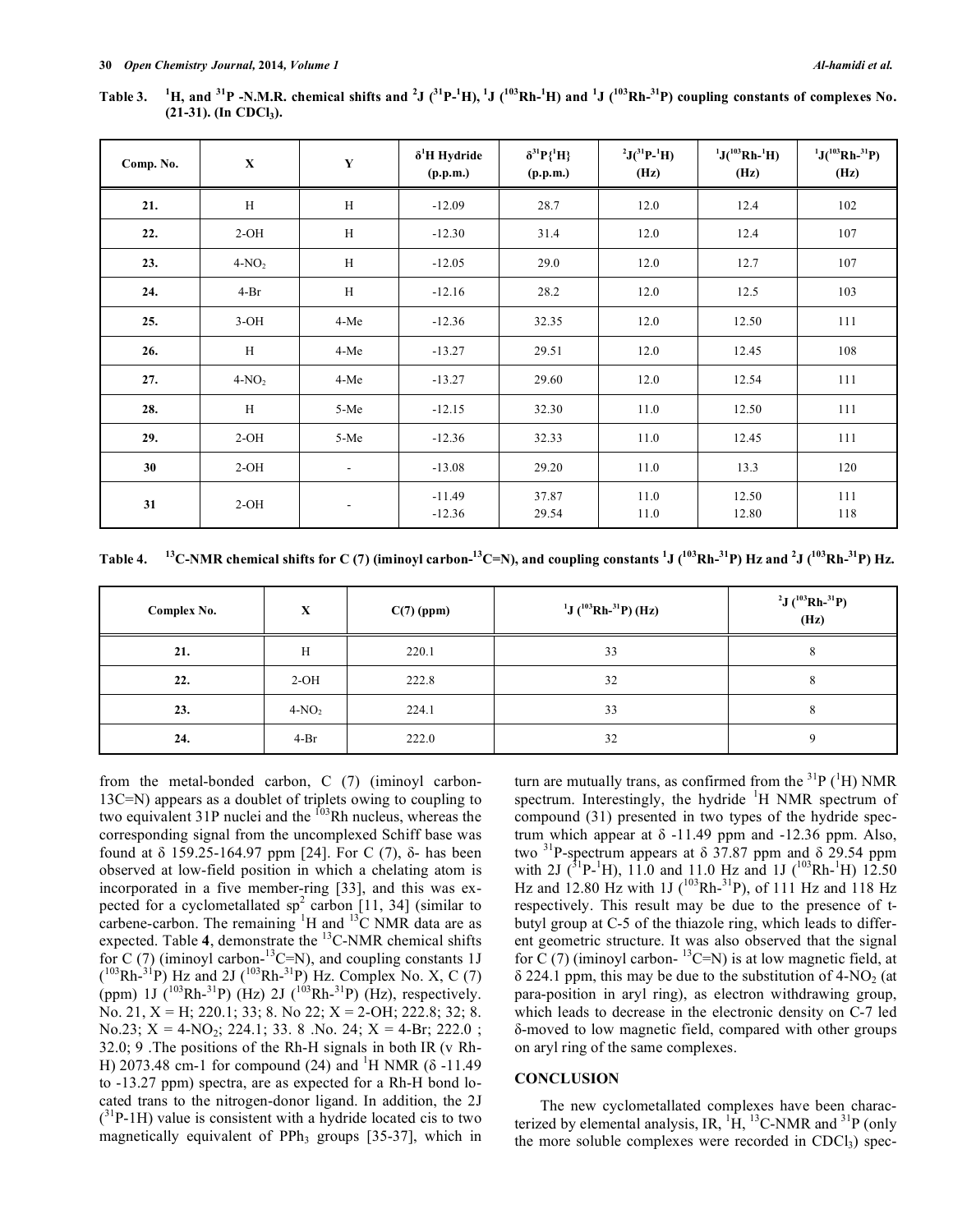**Table 3. <sup>1</sup>** H, and <sup>31</sup>P -N.M.R. chemical shifts and <sup>2</sup>J (<sup>31</sup>P-<sup>1</sup>H), <sup>1</sup>J (<sup>103</sup>Rh-<sup>1</sup>H) and <sup>1</sup>J (<sup>103</sup>Rh-<sup>31</sup>P) coupling constants of complexes No. (21-31). (In CDCl<sub>3</sub>).

| Comp. No. | $\mathbf X$ | $\mathbf Y$              | $\delta^1$ H Hydride<br>(p.p.m.) | $\delta^{31}P\{^1H\}$<br>(p.p.m.) | $^{2}J(^{31}P-^{1}H)$<br>(Hz) | $1J(^{103}Rh-1H)$<br>(Hz) | $1J(^{103}Rh-^{31}P)$<br>(Hz) |
|-----------|-------------|--------------------------|----------------------------------|-----------------------------------|-------------------------------|---------------------------|-------------------------------|
| 21.       | H           | H                        | $-12.09$                         | 28.7                              | 12.0                          | 12.4                      | 102                           |
| 22.       | $2-OH$      | H                        | $-12.30$                         | 31.4                              | 12.0                          | 12.4                      | 107                           |
| 23.       | $4-NO2$     | H                        | $-12.05$                         | 29.0                              | 12.0                          | 12.7                      | 107                           |
| 24.       | $4-Br$      | H                        | $-12.16$                         | 28.2                              | 12.0                          | 12.5                      | 103                           |
| 25.       | $3-OH$      | 4-Me                     | $-12.36$                         | 32.35                             | 12.0                          | 12.50                     | 111                           |
| 26.       | H           | 4-Me                     | $-13.27$                         | 29.51                             | 12.0                          | 12.45                     | 108                           |
| 27.       | $4-NO2$     | 4-Me                     | $-13.27$                         | 29.60                             | 12.0                          | 12.54                     | 111                           |
| 28.       | H           | 5-Me                     | $-12.15$                         | 32.30                             | 11.0                          | 12.50                     | 111                           |
| 29.       | $2-OH$      | 5-Me                     | $-12.36$                         | 32.33                             | 11.0                          | 12.45                     | 111                           |
| 30        | $2-OH$      | $\overline{\phantom{a}}$ | $-13.08$                         | 29.20                             | 11.0                          | 13.3                      | 120                           |
| 31        | $2-OH$      | $\overline{\phantom{a}}$ | $-11.49$<br>$-12.36$             | 37.87<br>29.54                    | 11.0<br>11.0                  | 12.50<br>12.80            | 111<br>118                    |

Table 4. **<sup>13</sup>C-NMR chemical shifts for C (7) (iminoyl carbon-<sup>13</sup>C=N), and coupling constants <sup>1</sup>J (<sup>103</sup>Rh-<sup>31</sup>P) Hz and <sup>2</sup>J (<sup>103</sup>Rh-<sup>31</sup>P) Hz.** 

| Complex No. | X       | $C(7)$ (ppm) | $1$ J ( $103$ Rh- $31$ P) (Hz) | <sup>2</sup> J ( <sup>103</sup> Rh- <sup>31</sup> P)<br>(Hz) |  |
|-------------|---------|--------------|--------------------------------|--------------------------------------------------------------|--|
| 21.         | H       | 220.1        | 33                             | ◠                                                            |  |
| 22.         | $2-OH$  | 222.8        | 32                             |                                                              |  |
| 23.         | $4-NO2$ | 224.1        | 33                             | $\circ$                                                      |  |
| 24.         | $4-Br$  | 222.0        | 32                             |                                                              |  |

from the metal-bonded carbon, C (7) (iminoyl carbon-13C=N) appears as a doublet of triplets owing to coupling to two equivalent  $31P$  nuclei and the  $103R$ h nucleus, whereas the corresponding signal from the uncomplexed Schiff base was found at  $\delta$  159.25-164.97 ppm [24]. For C (7),  $\delta$ - has been observed at low-field position in which a chelating atom is incorporated in a five member-ring [33], and this was expected for a cyclometallated  $sp^2$  carbon [11, 34] (similar to carbene-carbon. The remaining  ${}^{1}H$  and  ${}^{13}C$  NMR data are as expected. Table 4, demonstrate the <sup>13</sup>C-NMR chemical shifts for C (7) (iminoyl carbon- $^{13}$ C=N), and coupling constants 1J  $(103Rh^{-31}P)$  Hz and 2J  $(103Rh^{-31}P)$  Hz. Complex No. X, C (7) (ppm) 1J ( $^{103}Rh^{-31}P$ ) (Hz) 2J ( $^{103}Rh^{-31}P$ ) (Hz), respectively. No. 21, X = H; 220.1; 33; 8. No 22; X = 2-OH; 222.8; 32; 8. No.23;  $X = 4-NO_2$ ; 224.1; 33. 8 .No. 24;  $X = 4-Br$ ; 222.0; 32.0; 9 .The positions of the Rh-H signals in both IR (v Rh-H) 2073.48 cm-1 for compound (24) and <sup>1</sup>H NMR ( $\delta$ -11.49 to -13.27 ppm) spectra, are as expected for a Rh-H bond located trans to the nitrogen-donor ligand. In addition, the 2J  $(^{31}P-1H)$  value is consistent with a hydride located cis to two magnetically equivalent of  $PPh<sub>3</sub>$  groups [35-37], which in

turn are mutually trans, as confirmed from the  ${}^{31}P$  ( ${}^{1}H$ ) NMR spectrum. Interestingly, the hydride  $H$  NMR spectrum of compound (31) presented in two types of the hydride spectrum which appear at  $\delta$  -11.49 ppm and -12.36 ppm. Also, two  $31P$ -spectrum appears at  $\delta$  37.87 ppm and  $\delta$  29.54 ppm with 2J ( ${}^{31}P^{-1}H$ ), 11.0 and 11.0 Hz and 1J ( ${}^{103}Rh^{-1}H$ ) 12.50 Hz and 12.80 Hz with  $1J$  ( $^{103}Rh^{-31}P$ ), of 111 Hz and 118 Hz respectively. This result may be due to the presence of tbutyl group at C-5 of the thiazole ring, which leads to different geometric structure. It was also observed that the signal for C (7) (iminoyl carbon- $^{13}$ C=N) is at low magnetic field, at  $\delta$  224.1 ppm, this may be due to the substitution of 4-NO<sub>2</sub> (at para-position in aryl ring), as electron withdrawing group, which leads to decrease in the electronic density on C-7 led -moved to low magnetic field, compared with other groups on aryl ring of the same complexes.

#### **CONCLUSION**

 The new cyclometallated complexes have been characterized by elemental analysis, IR,  ${}^{1}\text{H}$ ,  ${}^{13}\text{C-NMR}$  and  ${}^{31}\text{P}$  (only the more soluble complexes were recorded in  $CDC<sub>1</sub>$ ) spec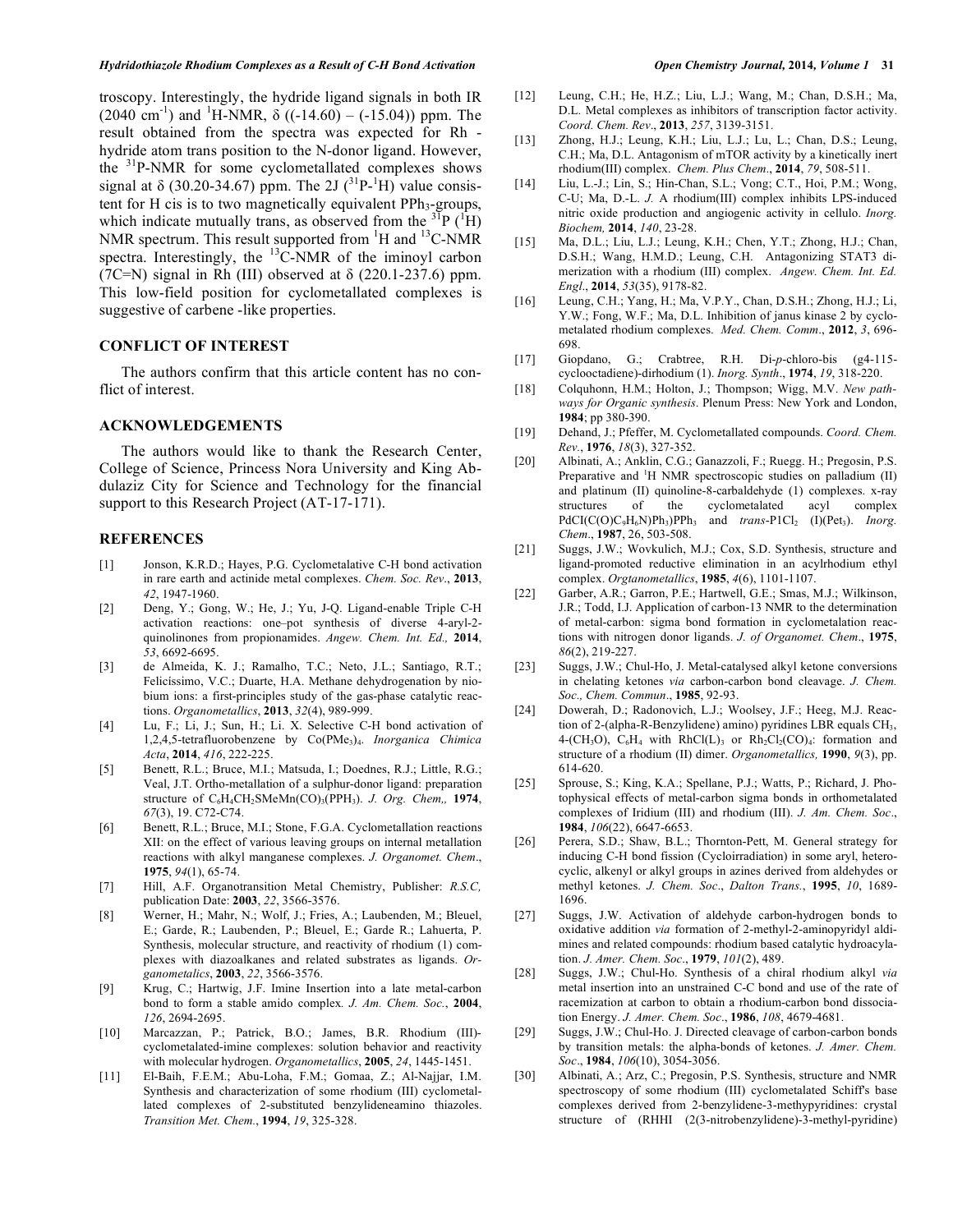troscopy. Interestingly, the hydride ligand signals in both IR  $(2040 \text{ cm}^{-1})$  and <sup>1</sup>H-NMR,  $\delta ((-14.60) - (-15.04))$  ppm. The result obtained from the spectra was expected for Rh hydride atom trans position to the N-donor ligand. However, the 31P-NMR for some cyclometallated complexes shows signal at  $\delta$  (30.20-34.67) ppm. The 2J ( $\rm{^{31}P_{\text{-}}^{1}H}$ ) value consistent for H cis is to two magnetically equivalent  $PPh_3$ -groups, which indicate mutually trans, as observed from the  ${}^{37}P$  ( ${}^{1}H$ ) NMR spectrum. This result supported from  ${}^{1}H$  and  ${}^{13}C$ -NMR spectra. Interestingly, the <sup>13</sup>C-NMR of the iminoyl carbon (7C=N) signal in Rh (III) observed at  $\delta$  (220.1-237.6) ppm. This low-field position for cyclometallated complexes is suggestive of carbene -like properties.

# **CONFLICT OF INTEREST**

The authors confirm that this article content has no conflict of interest.

#### **ACKNOWLEDGEMENTS**

The authors would like to thank the Research Center, College of Science, Princess Nora University and King Abdulaziz City for Science and Technology for the financial support to this Research Project (AT-17-171).

## **REFERENCES**

- [1] Jonson, K.R.D.; Hayes, P.G. Cyclometalative C-H bond activation in rare earth and actinide metal complexes. *Chem. Soc. Rev*., **2013**, *42*, 1947-1960.
- [2] Deng, Y.; Gong, W.; He, J.; Yu, J-Q. Ligand-enable Triple C-H activation reactions: one–pot synthesis of diverse 4-aryl-2 quinolinones from propionamides. *Angew. Chem. Int. Ed.,* **2014**, *53*, 6692-6695.
- [3] de Almeida, K. J.; Ramalho, T.C.; Neto, J.L.; Santiago, R.T.; Felicíssimo, V.C.; Duarte, H.A. Methane dehydrogenation by niobium ions: a first-principles study of the gas-phase catalytic reactions. *Organometallics*, **2013**, *32*(4), 989-999.
- [4] Lu, F.; Li, J.; Sun, H.; Li. X. Selective C-H bond activation of 1,2,4,5-tetrafluorobenzene by Co(PMe3)4. *Inorganica Chimica Acta*, **2014**, *416*, 222-225.
- [5] Benett, R.L.; Bruce, M.I.; Matsuda, I.; Doednes, R.J.; Little, R.G.; Veal, J.T. Ortho-metallation of a sulphur-donor ligand: preparation structure of C6H4CH2SMeMn(CO)3(PPH3). *J. Org. Chem,,* **1974**, *67*(3), 19. C72-C74.
- [6] Benett, R.L.; Bruce, M.I.; Stone, F.G.A. Cyclometallation reactions XII: on the effect of various leaving groups on internal metallation reactions with alkyl manganese complexes. *J. Organomet. Chem*., **1975**, *94*(1), 65-74.
- [7] Hill, A.F. Organotransition Metal Chemistry, Publisher: *R.S.C,* publication Date: **2003**, *22*, 3566-3576.
- [8] Werner, H.; Mahr, N.; Wolf, J.; Fries, A.; Laubenden, M.; Bleuel, E.; Garde, R.; Laubenden, P.; Bleuel, E.; Garde R.; Lahuerta, P. Synthesis, molecular structure, and reactivity of rhodium (1) complexes with diazoalkanes and related substrates as ligands. *Organometalics*, **2003**, *22*, 3566-3576.
- [9] Krug, C.; Hartwig, J.F. Imine Insertion into a late metal-carbon bond to form a stable amido complex*. J. Am. Chem. Soc.*, **2004**, *126*, 2694-2695.
- [10] Marcazzan, P.; Patrick, B.O.; James, B.R. Rhodium (III) cyclometalated-imine complexes: solution behavior and reactivity with molecular hydrogen. *Organometallics*, **2005**, *24*, 1445-1451.
- [11] El-Baih, F.E.M.; Abu-Loha, F.M.; Gomaa, Z.; Al-Najjar, I.M. Synthesis and characterization of some rhodium (III) cyclometallated complexes of 2-substituted benzylideneamino thiazoles. *Transition Met. Chem.*, **1994**, *19*, 325-328.
- [12] Leung, C.H.; He, H.Z.; Liu, L.J.; Wang, M.; Chan, D.S.H.; Ma, D.L. Metal complexes as inhibitors of transcription factor activity. *Coord. Chem. Rev*., **2013**, *257*, 3139-3151.
- [13] Zhong, H.J.; Leung, K.H.; Liu, L.J.; Lu, L.; Chan, D.S.; Leung, C.H.; Ma, D.L. Antagonism of mTOR activity by a kinetically inert rhodium(III) complex. *Chem. Plus Chem*., **2014**, *79*, 508-511.
- [14] Liu, L.-J.; Lin, S.; Hin-Chan, S.L.; Vong; C.T., Hoi, P.M.; Wong, C-U; Ma, D.-L. *J.* A rhodium(III) complex inhibits LPS-induced nitric oxide production and angiogenic activity in cellulo. *Inorg. Biochem,* **2014**, *140*, 23-28.
- [15] Ma, D.L.; Liu, L.J.; Leung, K.H.; Chen, Y.T.; Zhong, H.J.; Chan, D.S.H.; Wang, H.M.D.; Leung, C.H. Antagonizing STAT3 dimerization with a rhodium (III) complex. *Angew. Chem. Int. Ed. Engl*., **2014**, *53*(35), 9178-82.
- [16] Leung, C.H.; Yang, H.; Ma, V.P.Y., Chan, D.S.H.; Zhong, H.J.; Li, Y.W.; Fong, W.F.; Ma, D.L. Inhibition of janus kinase 2 by cyclometalated rhodium complexes. *Med. Chem. Comm*., **2012**, *3*, 696- 698.
- [17] Giopdano, G.; Crabtree, R.H. Di-*p*-chloro-bis (g4-115 cyclooctadiene)-dirhodium (1). *Inorg. Synth*., **1974**, *19*, 318-220.
- [18] Colquhonn, H.M.; Holton, J.; Thompson; Wigg, M.V. *New pathways for Organic synthesis*. Plenum Press: New York and London, **1984**; pp 380-390.
- [19] Dehand, J.; Pfeffer, M. Cyclometallated compounds. *Coord. Chem. Rev.*, **1976**, *18*(3), 327-352.
- [20] Albinati, A.; Anklin, C.G.; Ganazzoli, F.; Ruegg. H.; Pregosin, P.S. Preparative and  ${}^{1}H$  NMR spectroscopic studies on palladium (II) and platinum (II) quinoline-8-carbaldehyde (1) complexes. x-ray structures of the cyclometalated acyl complex PdCI(C(O)C<sub>9</sub>H<sub>6</sub>N)Ph<sub>3</sub>)PPh<sub>3</sub> and *trans*-P1Cl<sub>2</sub> (I)(Pet<sub>3</sub>). *Inorg. Chem*., **1987**, 26, 503-508.
- [21] Suggs, J.W.; Wovkulich, M.J.; Cox, S.D. Synthesis, structure and ligand-promoted reductive elimination in an acylrhodium ethyl complex. *Orgtanometallics*, **1985**, *4*(6), 1101-1107.
- [22] Garber, A.R.; Garron, P.E.; Hartwell, G.E.; Smas, M.J.; Wilkinson, J.R.; Todd, I.J. Application of carbon-13 NMR to the determination of metal-carbon: sigma bond formation in cyclometalation reactions with nitrogen donor ligands. *J. of Organomet. Chem*., **1975**, *86*(2), 219-227.
- [23] Suggs, J.W.; Chul-Ho, J. Metal-catalysed alkyl ketone conversions in chelating ketones *via* carbon-carbon bond cleavage. *J. Chem. Soc., Chem. Commun*., **1985**, 92-93.
- [24] Dowerah, D.; Radonovich, L.J.; Woolsey, J.F.; Heeg, M.J. Reaction of 2-(alpha-R-Benzylidene) amino) pyridines LBR equals CH<sub>3</sub>, 4-(CH<sub>3</sub>O),  $C_6H_4$  with RhCl(L)<sub>3</sub> or Rh<sub>2</sub>Cl<sub>2</sub>(CO)<sub>4</sub>: formation and structure of a rhodium (II) dimer. *Organometallics,* **1990**, *9*(3), pp. 614-620.
- [25] Sprouse, S.; King, K.A.; Spellane, P.J.; Watts, P.; Richard, J. Photophysical effects of metal-carbon sigma bonds in orthometalated complexes of Iridium (III) and rhodium (III). *J. Am. Chem. Soc*., **1984**, *106*(22), 6647-6653.
- [26] Perera, S.D.; Shaw, B.L.; Thornton-Pett, M. General strategy for inducing C-H bond fission (Cycloirradiation) in some aryl, heterocyclic, alkenyl or alkyl groups in azines derived from aldehydes or methyl ketones. *J. Chem. Soc*., *Dalton Trans.*, **1995**, *10*, 1689- 1696.
- [27] Suggs, J.W. Activation of aldehyde carbon-hydrogen bonds to oxidative addition *via* formation of 2-methyl-2-aminopyridyl aldimines and related compounds: rhodium based catalytic hydroacylation. *J. Amer. Chem. Soc*., **1979**, *101*(2), 489.
- [28] Suggs, J.W.; Chul-Ho. Synthesis of a chiral rhodium alkyl *via*  metal insertion into an unstrained C-C bond and use of the rate of racemization at carbon to obtain a rhodium-carbon bond dissociation Energy. *J. Amer. Chem. Soc*., **1986**, *108*, 4679-4681.
- [29] Suggs, J.W.; Chul-Ho. J. Directed cleavage of carbon-carbon bonds by transition metals: the alpha-bonds of ketones. *J. Amer. Chem. Soc*., **1984**, *106*(10), 3054-3056.
- [30] Albinati, A.; Arz, C.; Pregosin, P.S. Synthesis, structure and NMR spectroscopy of some rhodium (III) cyclometalated Schiff's base complexes derived from 2-benzylidene-3-methypyridines: crystal structure of (RHHI (2(3-nitrobenzylidene)-3-methyl-pyridine)